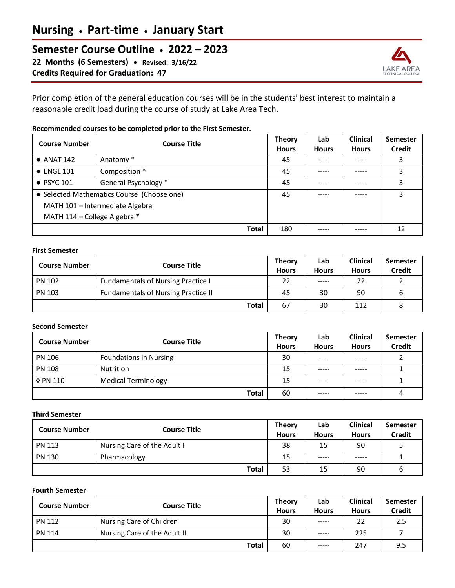# **Semester Course Outline • 2022 – 2023**

**22 Months (6 Semesters) • Revised: 3/16/22 Credits Required for Graduation: 47**



Prior completion of the general education courses will be in the students' best interest to maintain a reasonable credit load during the course of study at Lake Area Tech.

## **Recommended courses to be completed prior to the First Semester.**

| <b>Course Number</b>                       | <b>Course Title</b>  | <b>Theory</b><br><b>Hours</b> | Lab<br><b>Hours</b> | <b>Clinical</b><br><b>Hours</b> | <b>Semester</b><br><b>Credit</b> |
|--------------------------------------------|----------------------|-------------------------------|---------------------|---------------------------------|----------------------------------|
| $\bullet$ ANAT 142                         | Anatomy *            | 45                            |                     |                                 | 3                                |
| $\bullet$ ENGL 101                         | Composition *        | 45                            | -----               | -----                           | 3                                |
| $\bullet$ PSYC 101                         | General Psychology * | 45                            | -----               | -----                           | 3                                |
| • Selected Mathematics Course (Choose one) |                      | 45                            |                     |                                 | 3                                |
| MATH 101 - Intermediate Algebra            |                      |                               |                     |                                 |                                  |
| MATH 114 - College Algebra *               |                      |                               |                     |                                 |                                  |
|                                            | <b>Total</b>         | 180                           |                     |                                 | 12                               |

#### **First Semester**

| Course Number | <b>Course Title</b>                        | <b>Theory</b><br><b>Hours</b> | Lab<br><b>Hours</b> | <b>Clinical</b><br><b>Hours</b> | Semester<br><b>Credit</b> |
|---------------|--------------------------------------------|-------------------------------|---------------------|---------------------------------|---------------------------|
| <b>PN 102</b> | <b>Fundamentals of Nursing Practice I</b>  | 22                            | -----               | 22                              |                           |
| <b>PN 103</b> | <b>Fundamentals of Nursing Practice II</b> | 45                            | 30                  | 90                              |                           |
|               | <b>Total</b>                               | 67                            | 30                  | 112                             |                           |

## **Second Semester**

| <b>Course Number</b> | <b>Course Title</b>           | <b>Theory</b><br><b>Hours</b> | Lab<br><b>Hours</b> | <b>Clinical</b><br><b>Hours</b> | <b>Semester</b><br><b>Credit</b> |
|----------------------|-------------------------------|-------------------------------|---------------------|---------------------------------|----------------------------------|
| <b>PN 106</b>        | <b>Foundations in Nursing</b> | 30                            |                     | -----                           |                                  |
| <b>PN 108</b>        | Nutrition                     | 15                            | -----               | ------                          |                                  |
| 0 PN 110             | <b>Medical Terminology</b>    | 15                            | -----               | -----                           |                                  |
|                      | <b>Total</b>                  | 60                            | -----               | -----                           |                                  |

#### **Third Semester**

| <b>Course Number</b> | <b>Course Title</b>         | <b>Theory</b><br><b>Hours</b> | Lab<br><b>Hours</b> | <b>Clinical</b><br><b>Hours</b> | <b>Semester</b><br><b>Credit</b> |
|----------------------|-----------------------------|-------------------------------|---------------------|---------------------------------|----------------------------------|
| <b>PN 113</b>        | Nursing Care of the Adult I | 38                            | 15                  | 90                              |                                  |
| <b>PN 130</b>        | Pharmacology                | 15                            | -----               | -----                           |                                  |
|                      | <b>Total</b>                | 53                            | 15                  | 90                              | ь                                |

## **Fourth Semester**

| <b>Course Number</b> | <b>Course Title</b>          | <b>Theory</b><br><b>Hours</b> | Lab<br><b>Hours</b> | <b>Clinical</b><br><b>Hours</b> | Semester<br><b>Credit</b> |
|----------------------|------------------------------|-------------------------------|---------------------|---------------------------------|---------------------------|
| <b>PN 112</b>        | Nursing Care of Children     | 30                            | -----               | 22                              | 2.5                       |
| <b>PN 114</b>        | Nursing Care of the Adult II | 30                            | -----               | 225                             |                           |
|                      | <b>Total</b>                 | 60                            | -----               | 247                             | 9.5                       |